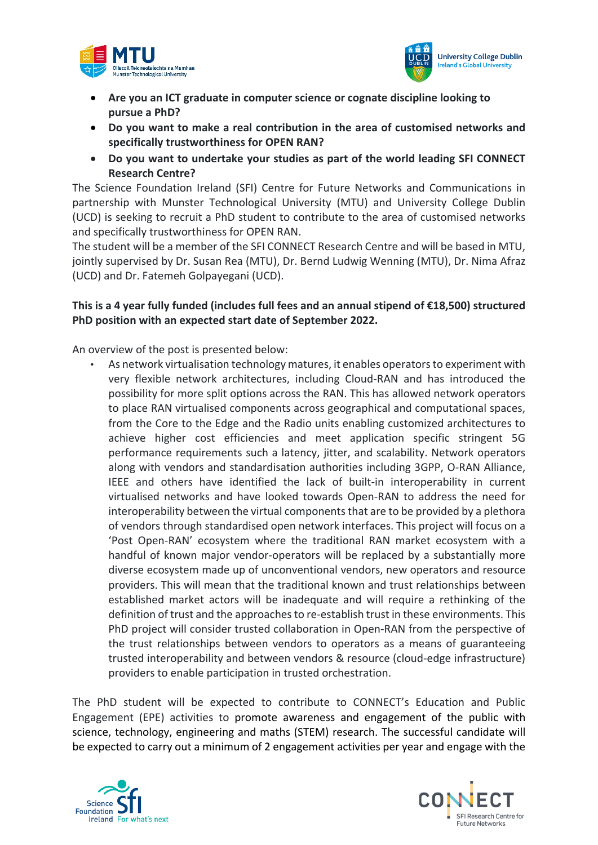



- **Are you an ICT graduate in computer science or cognate discipline looking to pursue a PhD?**
- **Do you want to make a real contribution in the area of customised networks and specifically trustworthiness for OPEN RAN?**
- **Do you want to undertake your studies as part of the world leading SFI CONNECT Research Centre?**

The Science Foundation Ireland (SFI) Centre for Future Networks and Communications in partnership with Munster Technological University (MTU) and University College Dublin (UCD) is seeking to recruit a PhD student to contribute to the area of customised networks and specifically trustworthiness for OPEN RAN.

The student will be a member of the SFI CONNECT Research Centre and will be based in MTU, jointly supervised by Dr. Susan Rea (MTU), Dr. Bernd Ludwig Wenning (MTU), Dr. Nima Afraz (UCD) and Dr. Fatemeh Golpayegani (UCD).

## **This is a 4 year fully funded (includes full fees and an annual stipend of €18,500) structured PhD position with an expected start date of September 2022.**

An overview of the post is presented below:

• As network virtualisation technology matures, it enables operators to experiment with very flexible network architectures, including Cloud-RAN and has introduced the possibility for more split options across the RAN. This has allowed network operators to place RAN virtualised components across geographical and computational spaces, from the Core to the Edge and the Radio units enabling customized architectures to achieve higher cost efficiencies and meet application specific stringent 5G performance requirements such a latency, jitter, and scalability. Network operators along with vendors and standardisation authorities including 3GPP, O-RAN Alliance, IEEE and others have identified the lack of built-in interoperability in current virtualised networks and have looked towards Open-RAN to address the need for interoperability between the virtual components that are to be provided by a plethora of vendors through standardised open network interfaces. This project will focus on a 'Post Open-RAN' ecosystem where the traditional RAN market ecosystem with a handful of known major vendor-operators will be replaced by a substantially more diverse ecosystem made up of unconventional vendors, new operators and resource providers. This will mean that the traditional known and trust relationships between established market actors will be inadequate and will require a rethinking of the definition of trust and the approaches to re-establish trust in these environments. This PhD project will consider trusted collaboration in Open-RAN from the perspective of the trust relationships between vendors to operators as a means of guaranteeing trusted interoperability and between vendors & resource (cloud-edge infrastructure) providers to enable participation in trusted orchestration.

The PhD student will be expected to contribute to CONNECT's Education and Public Engagement (EPE) activities to promote awareness and engagement of the public with science, technology, engineering and maths (STEM) research. The successful candidate will be expected to carry out a minimum of 2 engagement activities per year and engage with the